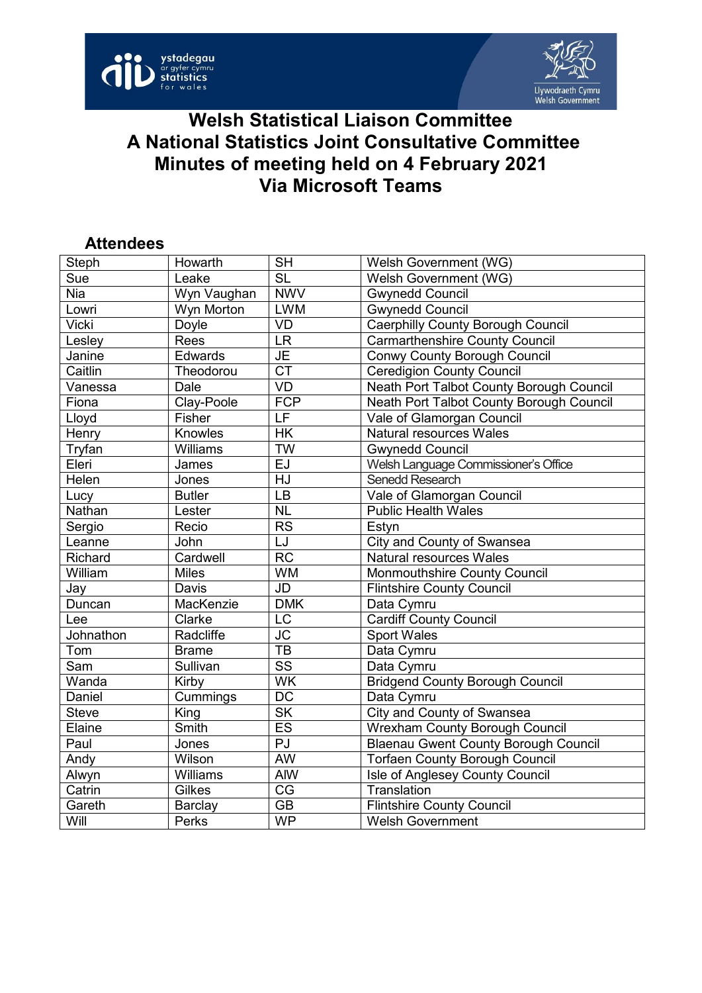



## **Welsh Statistical Liaison Committee A National Statistics Joint Consultative Committee Minutes of meeting held on 4 February 2021 Via Microsoft Teams**

## **Attendees**

| Steph                      | Howarth       | <b>SH</b>                | Welsh Government (WG)                       |
|----------------------------|---------------|--------------------------|---------------------------------------------|
| Sue                        | Leake         | <b>SL</b>                | Welsh Government (WG)                       |
| <b>Nia</b>                 | Wyn Vaughan   | <b>NWV</b>               | <b>Gwynedd Council</b>                      |
| Lowri                      | Wyn Morton    | <b>LWM</b>               | <b>Gwynedd Council</b>                      |
| Vicki                      | Doyle         | <b>VD</b>                | <b>Caerphilly County Borough Council</b>    |
| Lesley                     | Rees          | <b>LR</b>                | <b>Carmarthenshire County Council</b>       |
| Janine                     | Edwards       | JE                       | <b>Conwy County Borough Council</b>         |
| Caitlin                    | Theodorou     | $\overline{\text{CT}}$   | <b>Ceredigion County Council</b>            |
| Vanessa                    | Dale          | <b>VD</b>                | Neath Port Talbot County Borough Council    |
| Fiona                      | Clay-Poole    | <b>FCP</b>               | Neath Port Talbot County Borough Council    |
| Lloyd                      | Fisher        | LF                       | Vale of Glamorgan Council                   |
| Henry                      | Knowles       | HK                       | <b>Natural resources Wales</b>              |
| Tryfan                     | Williams      | <b>TW</b>                | <b>Gwynedd Council</b>                      |
| Eleri                      | James         | EJ                       | Welsh Language Commissioner's Office        |
| Helen                      | Jones         | HJ                       | Senedd Research                             |
| Lucy                       | <b>Butler</b> | LB                       | Vale of Glamorgan Council                   |
| Nathan                     | Lester        | <b>NL</b>                | <b>Public Health Wales</b>                  |
| Sergio                     | Recio         | <b>RS</b>                | Estyn                                       |
| Leanne                     | John          | LJ                       | City and County of Swansea                  |
| Richard                    | Cardwell      | <b>RC</b>                | Natural resources Wales                     |
| William                    | <b>Miles</b>  | <b>WM</b>                | Monmouthshire County Council                |
| Jay                        | <b>Davis</b>  | JD                       | <b>Flintshire County Council</b>            |
| Duncan                     | MacKenzie     | <b>DMK</b>               | Data Cymru                                  |
| Lee                        | Clarke        | LC                       | <b>Cardiff County Council</b>               |
| Johnathon                  | Radcliffe     | $\overline{\text{JC}}$   | <b>Sport Wales</b>                          |
| Tom                        | <b>Brame</b>  | <b>TB</b>                | Data Cymru                                  |
| Sam                        | Sullivan      | $\overline{\text{SS}}$   | Data Cymru                                  |
| $\overline{\text{W}}$ anda | Kirby         | <b>WK</b>                | <b>Bridgend County Borough Council</b>      |
| Daniel                     | Cummings      | <b>DC</b>                | Data Cymru                                  |
| Steve                      | King          | $\overline{\mathsf{SK}}$ | <b>City and County of Swansea</b>           |
| Elaine                     | Smith         | <b>ES</b>                | Wrexham County Borough Council              |
| Paul                       | Jones         | $\overline{P}$           | <b>Blaenau Gwent County Borough Council</b> |
| Andy                       | Wilson        | AW                       | <b>Torfaen County Borough Council</b>       |
| Alwyn                      | Williams      | AIW                      | Isle of Anglesey County Council             |
| Catrin                     | Gilkes        | CG                       | Translation                                 |
| Gareth                     | Barclay       | $\overline{GB}$          | <b>Flintshire County Council</b>            |
| Will                       | Perks         | <b>WP</b>                | <b>Welsh Government</b>                     |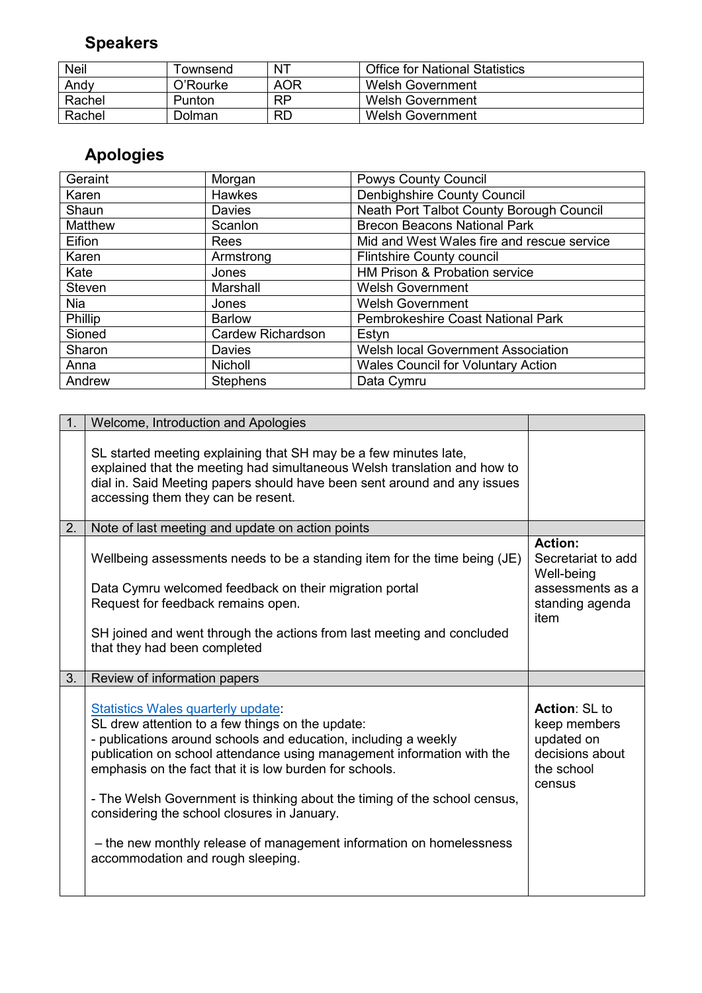## **Speakers**

| <b>Neil</b> | <sup>-</sup> ownsend | $N^{T}$   | <b>Office for National Statistics</b> |
|-------------|----------------------|-----------|---------------------------------------|
| Andy        | O'Rourke             | AOR       | Welsh Government                      |
| Rachel      | Punton               | <b>RP</b> | Welsh Government                      |
| Rachel      | Dolman               | <b>RD</b> | Welsh Government                      |

## **Apologies**

| Geraint       | Morgan                   | <b>Powys County Council</b>                |
|---------------|--------------------------|--------------------------------------------|
| Karen         | Hawkes                   | Denbighshire County Council                |
| Shaun         | <b>Davies</b>            | Neath Port Talbot County Borough Council   |
| Matthew       | Scanlon                  | <b>Brecon Beacons National Park</b>        |
| Eifion        | Rees                     | Mid and West Wales fire and rescue service |
| Karen         | Armstrong                | <b>Flintshire County council</b>           |
| Kate          | Jones                    | HM Prison & Probation service              |
| <b>Steven</b> | Marshall                 | <b>Welsh Government</b>                    |
| <b>Nia</b>    | Jones                    | <b>Welsh Government</b>                    |
| Phillip       | <b>Barlow</b>            | Pembrokeshire Coast National Park          |
| Sioned        | <b>Cardew Richardson</b> | Estyn                                      |
| Sharon        | Davies                   | Welsh local Government Association         |
| Anna          | <b>Nicholl</b>           | <b>Wales Council for Voluntary Action</b>  |
| Andrew        | <b>Stephens</b>          | Data Cymru                                 |

| 1. | Welcome, Introduction and Apologies                                                                                                                                                                                                                                                                                                                                                                                                                                                                                                    |                                                                                                   |
|----|----------------------------------------------------------------------------------------------------------------------------------------------------------------------------------------------------------------------------------------------------------------------------------------------------------------------------------------------------------------------------------------------------------------------------------------------------------------------------------------------------------------------------------------|---------------------------------------------------------------------------------------------------|
|    | SL started meeting explaining that SH may be a few minutes late,<br>explained that the meeting had simultaneous Welsh translation and how to<br>dial in. Said Meeting papers should have been sent around and any issues<br>accessing them they can be resent.                                                                                                                                                                                                                                                                         |                                                                                                   |
| 2. | Note of last meeting and update on action points                                                                                                                                                                                                                                                                                                                                                                                                                                                                                       |                                                                                                   |
|    | Wellbeing assessments needs to be a standing item for the time being (JE)<br>Data Cymru welcomed feedback on their migration portal<br>Request for feedback remains open.<br>SH joined and went through the actions from last meeting and concluded<br>that they had been completed                                                                                                                                                                                                                                                    | <b>Action:</b><br>Secretariat to add<br>Well-being<br>assessments as a<br>standing agenda<br>item |
| 3. | Review of information papers                                                                                                                                                                                                                                                                                                                                                                                                                                                                                                           |                                                                                                   |
|    | Statistics Wales quarterly update:<br>SL drew attention to a few things on the update:<br>- publications around schools and education, including a weekly<br>publication on school attendance using management information with the<br>emphasis on the fact that it is low burden for schools.<br>- The Welsh Government is thinking about the timing of the school census,<br>considering the school closures in January.<br>- the new monthly release of management information on homelessness<br>accommodation and rough sleeping. | <b>Action: SL to</b><br>keep members<br>updated on<br>decisions about<br>the school<br>census     |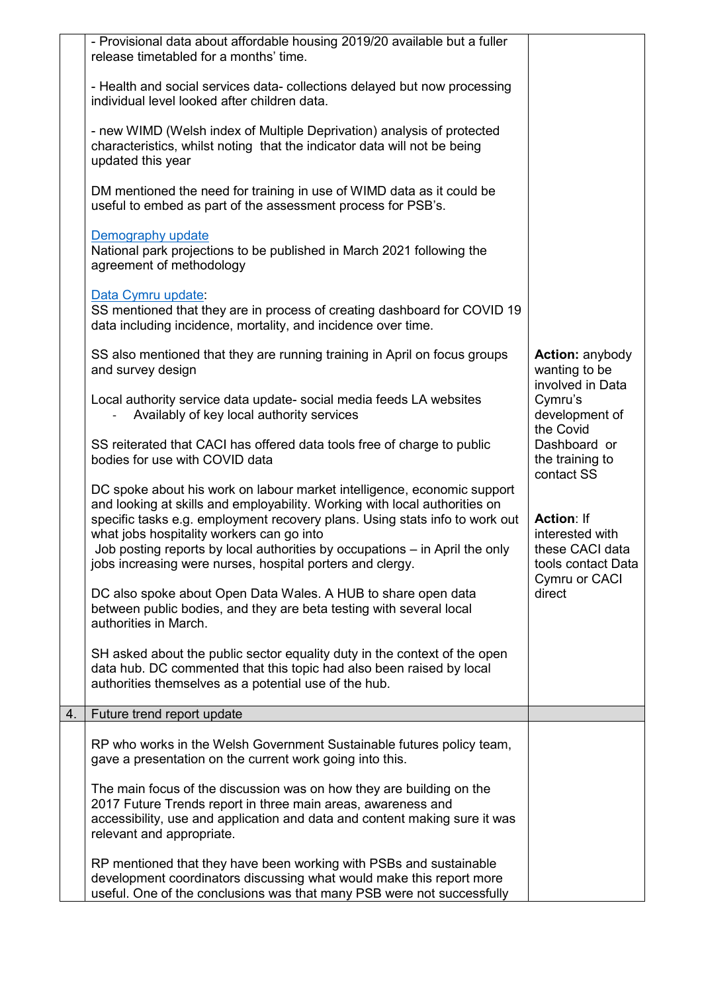|    | - Provisional data about affordable housing 2019/20 available but a fuller<br>release timetabled for a months' time.                                                                                                                                                                                                                                                                                                          |                                                                                             |
|----|-------------------------------------------------------------------------------------------------------------------------------------------------------------------------------------------------------------------------------------------------------------------------------------------------------------------------------------------------------------------------------------------------------------------------------|---------------------------------------------------------------------------------------------|
|    | - Health and social services data- collections delayed but now processing<br>individual level looked after children data.                                                                                                                                                                                                                                                                                                     |                                                                                             |
|    | - new WIMD (Welsh index of Multiple Deprivation) analysis of protected<br>characteristics, whilst noting that the indicator data will not be being<br>updated this year                                                                                                                                                                                                                                                       |                                                                                             |
|    | DM mentioned the need for training in use of WIMD data as it could be<br>useful to embed as part of the assessment process for PSB's.                                                                                                                                                                                                                                                                                         |                                                                                             |
|    | Demography update<br>National park projections to be published in March 2021 following the<br>agreement of methodology                                                                                                                                                                                                                                                                                                        |                                                                                             |
|    | Data Cymru update:<br>SS mentioned that they are in process of creating dashboard for COVID 19<br>data including incidence, mortality, and incidence over time.                                                                                                                                                                                                                                                               |                                                                                             |
|    | SS also mentioned that they are running training in April on focus groups<br>and survey design                                                                                                                                                                                                                                                                                                                                | <b>Action: anybody</b><br>wanting to be<br>involved in Data                                 |
|    | Local authority service data update- social media feeds LA websites<br>Availably of key local authority services                                                                                                                                                                                                                                                                                                              | Cymru's<br>development of<br>the Covid                                                      |
|    | SS reiterated that CACI has offered data tools free of charge to public<br>bodies for use with COVID data                                                                                                                                                                                                                                                                                                                     | Dashboard or<br>the training to                                                             |
|    | DC spoke about his work on labour market intelligence, economic support<br>and looking at skills and employability. Working with local authorities on<br>specific tasks e.g. employment recovery plans. Using stats info to work out<br>what jobs hospitality workers can go into<br>Job posting reports by local authorities by occupations – in April the only<br>jobs increasing were nurses, hospital porters and clergy. | contact SS<br><b>Action: If</b><br>interested with<br>these CACI data<br>tools contact Data |
|    | DC also spoke about Open Data Wales. A HUB to share open data<br>between public bodies, and they are beta testing with several local<br>authorities in March.                                                                                                                                                                                                                                                                 | Cymru or CACI<br>direct                                                                     |
|    | SH asked about the public sector equality duty in the context of the open<br>data hub. DC commented that this topic had also been raised by local<br>authorities themselves as a potential use of the hub.                                                                                                                                                                                                                    |                                                                                             |
| 4. | Future trend report update                                                                                                                                                                                                                                                                                                                                                                                                    |                                                                                             |
|    | RP who works in the Welsh Government Sustainable futures policy team,<br>gave a presentation on the current work going into this.                                                                                                                                                                                                                                                                                             |                                                                                             |
|    | The main focus of the discussion was on how they are building on the<br>2017 Future Trends report in three main areas, awareness and<br>accessibility, use and application and data and content making sure it was<br>relevant and appropriate.                                                                                                                                                                               |                                                                                             |
|    | RP mentioned that they have been working with PSBs and sustainable<br>development coordinators discussing what would make this report more<br>useful. One of the conclusions was that many PSB were not successfully                                                                                                                                                                                                          |                                                                                             |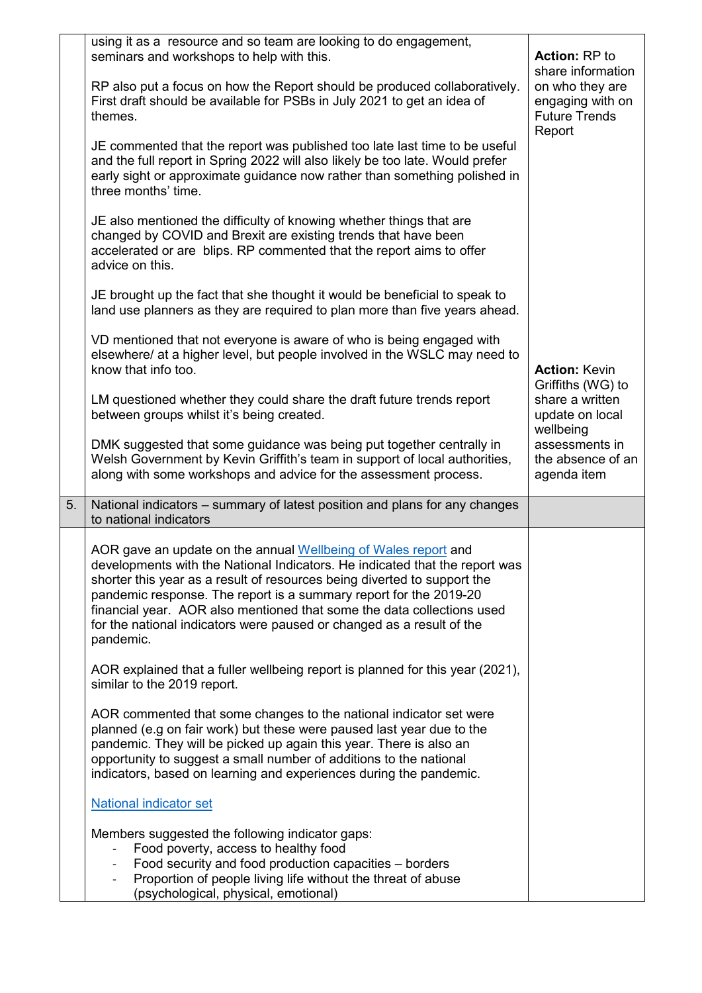|    | using it as a resource and so team are looking to do engagement,<br>seminars and workshops to help with this.                                                                                                                                                                                                                                                                                                                                                  | <b>Action: RP to</b>                                                                       |
|----|----------------------------------------------------------------------------------------------------------------------------------------------------------------------------------------------------------------------------------------------------------------------------------------------------------------------------------------------------------------------------------------------------------------------------------------------------------------|--------------------------------------------------------------------------------------------|
|    | RP also put a focus on how the Report should be produced collaboratively.<br>First draft should be available for PSBs in July 2021 to get an idea of<br>themes.                                                                                                                                                                                                                                                                                                | share information<br>on who they are<br>engaging with on<br><b>Future Trends</b><br>Report |
|    | JE commented that the report was published too late last time to be useful<br>and the full report in Spring 2022 will also likely be too late. Would prefer<br>early sight or approximate guidance now rather than something polished in<br>three months' time.                                                                                                                                                                                                |                                                                                            |
|    | JE also mentioned the difficulty of knowing whether things that are<br>changed by COVID and Brexit are existing trends that have been<br>accelerated or are blips. RP commented that the report aims to offer<br>advice on this.                                                                                                                                                                                                                               |                                                                                            |
|    | JE brought up the fact that she thought it would be beneficial to speak to<br>land use planners as they are required to plan more than five years ahead.                                                                                                                                                                                                                                                                                                       |                                                                                            |
|    | VD mentioned that not everyone is aware of who is being engaged with<br>elsewhere/ at a higher level, but people involved in the WSLC may need to<br>know that info too.                                                                                                                                                                                                                                                                                       | <b>Action: Kevin</b><br>Griffiths (WG) to                                                  |
|    | LM questioned whether they could share the draft future trends report<br>between groups whilst it's being created.                                                                                                                                                                                                                                                                                                                                             | share a written<br>update on local<br>wellbeing                                            |
|    | DMK suggested that some guidance was being put together centrally in<br>Welsh Government by Kevin Griffith's team in support of local authorities,<br>along with some workshops and advice for the assessment process.                                                                                                                                                                                                                                         | assessments in<br>the absence of an<br>agenda item                                         |
| 5. | National indicators – summary of latest position and plans for any changes<br>to national indicators                                                                                                                                                                                                                                                                                                                                                           |                                                                                            |
|    | AOR gave an update on the annual Wellbeing of Wales report and<br>developments with the National Indicators. He indicated that the report was<br>shorter this year as a result of resources being diverted to support the<br>pandemic response. The report is a summary report for the 2019-20<br>financial year. AOR also mentioned that some the data collections used<br>for the national indicators were paused or changed as a result of the<br>pandemic. |                                                                                            |
|    | AOR explained that a fuller wellbeing report is planned for this year (2021),<br>similar to the 2019 report.                                                                                                                                                                                                                                                                                                                                                   |                                                                                            |
|    | AOR commented that some changes to the national indicator set were<br>planned (e.g on fair work) but these were paused last year due to the<br>pandemic. They will be picked up again this year. There is also an<br>opportunity to suggest a small number of additions to the national<br>indicators, based on learning and experiences during the pandemic.                                                                                                  |                                                                                            |
|    | <b>National indicator set</b>                                                                                                                                                                                                                                                                                                                                                                                                                                  |                                                                                            |
|    | Members suggested the following indicator gaps:<br>Food poverty, access to healthy food<br>Food security and food production capacities - borders<br>Proportion of people living life without the threat of abuse<br>(psychological, physical, emotional)                                                                                                                                                                                                      |                                                                                            |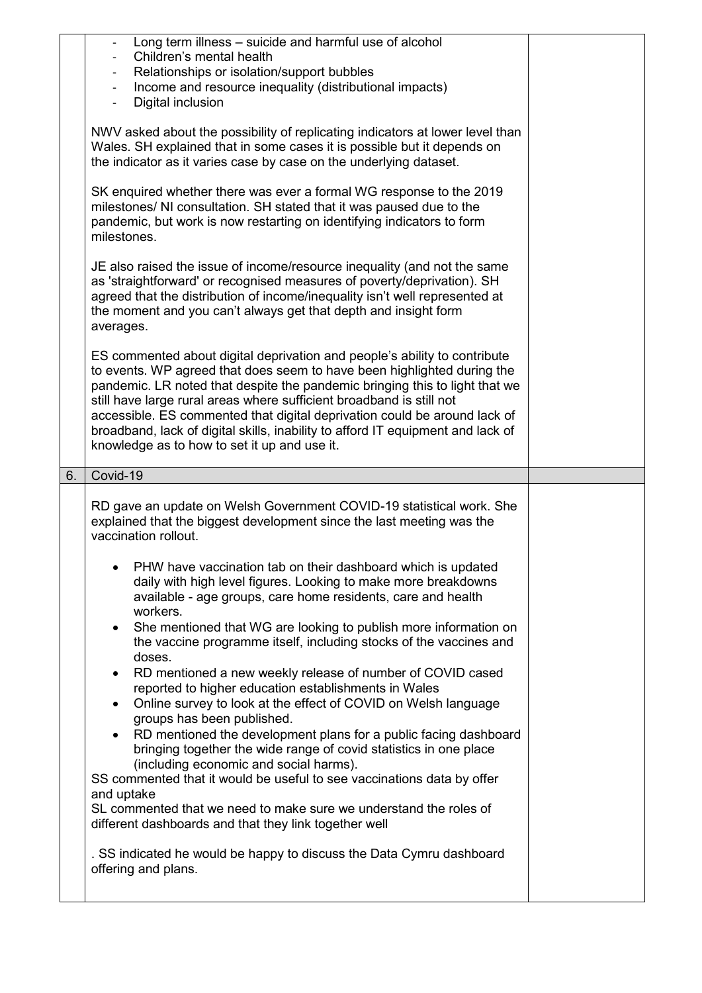| Long term illness - suicide and harmful use of alcohol<br>Children's mental health<br>Relationships or isolation/support bubbles<br>Income and resource inequality (distributional impacts)<br>$\overline{\phantom{0}}$<br>Digital inclusion<br>$\overline{\phantom{0}}$                                                                                                                                                                                                                                                    |  |
|-----------------------------------------------------------------------------------------------------------------------------------------------------------------------------------------------------------------------------------------------------------------------------------------------------------------------------------------------------------------------------------------------------------------------------------------------------------------------------------------------------------------------------|--|
| NWV asked about the possibility of replicating indicators at lower level than<br>Wales. SH explained that in some cases it is possible but it depends on<br>the indicator as it varies case by case on the underlying dataset.                                                                                                                                                                                                                                                                                              |  |
| SK enquired whether there was ever a formal WG response to the 2019<br>milestones/ NI consultation. SH stated that it was paused due to the<br>pandemic, but work is now restarting on identifying indicators to form<br>milestones.                                                                                                                                                                                                                                                                                        |  |
| JE also raised the issue of income/resource inequality (and not the same<br>as 'straightforward' or recognised measures of poverty/deprivation). SH<br>agreed that the distribution of income/inequality isn't well represented at<br>the moment and you can't always get that depth and insight form<br>averages.                                                                                                                                                                                                          |  |
| ES commented about digital deprivation and people's ability to contribute<br>to events. WP agreed that does seem to have been highlighted during the<br>pandemic. LR noted that despite the pandemic bringing this to light that we<br>still have large rural areas where sufficient broadband is still not<br>accessible. ES commented that digital deprivation could be around lack of<br>broadband, lack of digital skills, inability to afford IT equipment and lack of<br>knowledge as to how to set it up and use it. |  |
| Covid-19<br>6.                                                                                                                                                                                                                                                                                                                                                                                                                                                                                                              |  |
|                                                                                                                                                                                                                                                                                                                                                                                                                                                                                                                             |  |
| RD gave an update on Welsh Government COVID-19 statistical work. She<br>explained that the biggest development since the last meeting was the<br>vaccination rollout.                                                                                                                                                                                                                                                                                                                                                       |  |
| PHW have vaccination tab on their dashboard which is updated<br>daily with high level figures. Looking to make more breakdowns<br>available - age groups, care home residents, care and health<br>workers.                                                                                                                                                                                                                                                                                                                  |  |
| She mentioned that WG are looking to publish more information on<br>$\bullet$<br>the vaccine programme itself, including stocks of the vaccines and<br>doses.                                                                                                                                                                                                                                                                                                                                                               |  |
| RD mentioned a new weekly release of number of COVID cased<br>reported to higher education establishments in Wales<br>$\bullet$                                                                                                                                                                                                                                                                                                                                                                                             |  |
| Online survey to look at the effect of COVID on Welsh language<br>groups has been published.<br>RD mentioned the development plans for a public facing dashboard<br>bringing together the wide range of covid statistics in one place                                                                                                                                                                                                                                                                                       |  |
| (including economic and social harms).<br>SS commented that it would be useful to see vaccinations data by offer<br>and uptake                                                                                                                                                                                                                                                                                                                                                                                              |  |
| SL commented that we need to make sure we understand the roles of<br>different dashboards and that they link together well                                                                                                                                                                                                                                                                                                                                                                                                  |  |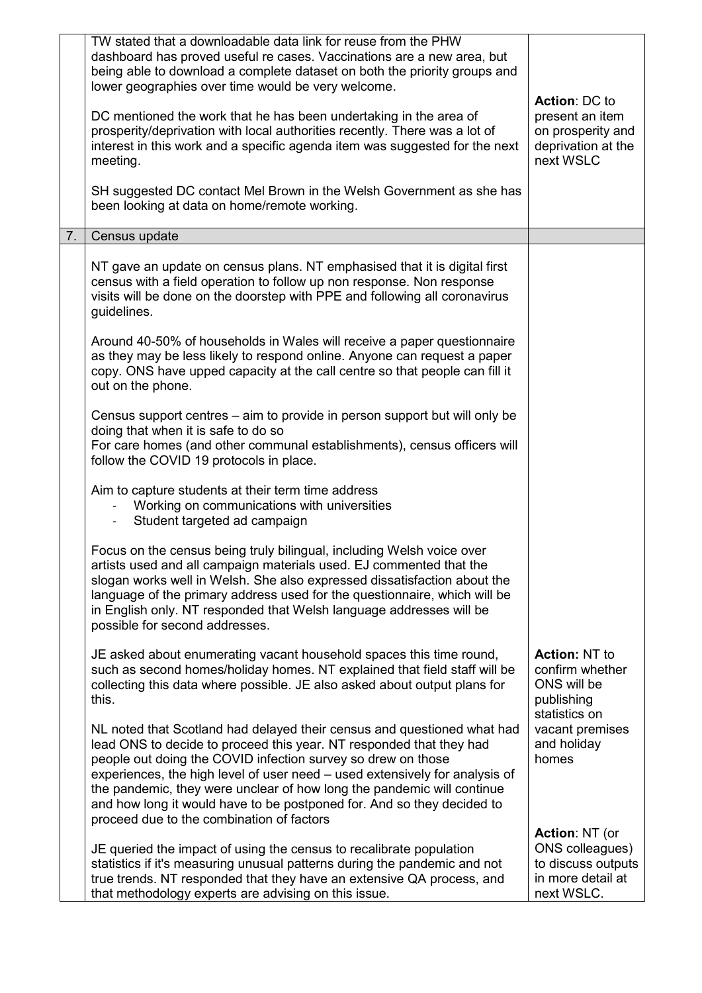|    | TW stated that a downloadable data link for reuse from the PHW<br>dashboard has proved useful re cases. Vaccinations are a new area, but<br>being able to download a complete dataset on both the priority groups and<br>lower geographies over time would be very welcome.<br>DC mentioned the work that he has been undertaking in the area of<br>prosperity/deprivation with local authorities recently. There was a lot of<br>interest in this work and a specific agenda item was suggested for the next<br>meeting.<br>SH suggested DC contact Mel Brown in the Welsh Government as she has<br>been looking at data on home/remote working. | <b>Action: DC to</b><br>present an item<br>on prosperity and<br>deprivation at the<br>next WSLC   |
|----|---------------------------------------------------------------------------------------------------------------------------------------------------------------------------------------------------------------------------------------------------------------------------------------------------------------------------------------------------------------------------------------------------------------------------------------------------------------------------------------------------------------------------------------------------------------------------------------------------------------------------------------------------|---------------------------------------------------------------------------------------------------|
| 7. | Census update                                                                                                                                                                                                                                                                                                                                                                                                                                                                                                                                                                                                                                     |                                                                                                   |
|    | NT gave an update on census plans. NT emphasised that it is digital first<br>census with a field operation to follow up non response. Non response<br>visits will be done on the doorstep with PPE and following all coronavirus<br>guidelines.                                                                                                                                                                                                                                                                                                                                                                                                   |                                                                                                   |
|    | Around 40-50% of households in Wales will receive a paper questionnaire<br>as they may be less likely to respond online. Anyone can request a paper<br>copy. ONS have upped capacity at the call centre so that people can fill it<br>out on the phone.                                                                                                                                                                                                                                                                                                                                                                                           |                                                                                                   |
|    | Census support centres – aim to provide in person support but will only be<br>doing that when it is safe to do so<br>For care homes (and other communal establishments), census officers will<br>follow the COVID 19 protocols in place.                                                                                                                                                                                                                                                                                                                                                                                                          |                                                                                                   |
|    | Aim to capture students at their term time address<br>Working on communications with universities<br>Student targeted ad campaign                                                                                                                                                                                                                                                                                                                                                                                                                                                                                                                 |                                                                                                   |
|    | Focus on the census being truly bilingual, including Welsh voice over<br>artists used and all campaign materials used. EJ commented that the<br>slogan works well in Welsh. She also expressed dissatisfaction about the<br>language of the primary address used for the questionnaire, which will be<br>in English only. NT responded that Welsh language addresses will be<br>possible for second addresses.                                                                                                                                                                                                                                    |                                                                                                   |
|    | JE asked about enumerating vacant household spaces this time round,<br>such as second homes/holiday homes. NT explained that field staff will be<br>collecting this data where possible. JE also asked about output plans for<br>this.                                                                                                                                                                                                                                                                                                                                                                                                            | <b>Action: NT to</b><br>confirm whether<br>ONS will be<br>publishing<br>statistics on             |
|    | NL noted that Scotland had delayed their census and questioned what had<br>lead ONS to decide to proceed this year. NT responded that they had<br>people out doing the COVID infection survey so drew on those<br>experiences, the high level of user need – used extensively for analysis of<br>the pandemic, they were unclear of how long the pandemic will continue<br>and how long it would have to be postponed for. And so they decided to<br>proceed due to the combination of factors                                                                                                                                                    | vacant premises<br>and holiday<br>homes                                                           |
|    | JE queried the impact of using the census to recalibrate population<br>statistics if it's measuring unusual patterns during the pandemic and not<br>true trends. NT responded that they have an extensive QA process, and<br>that methodology experts are advising on this issue.                                                                                                                                                                                                                                                                                                                                                                 | <b>Action: NT (or</b><br>ONS colleagues)<br>to discuss outputs<br>in more detail at<br>next WSLC. |